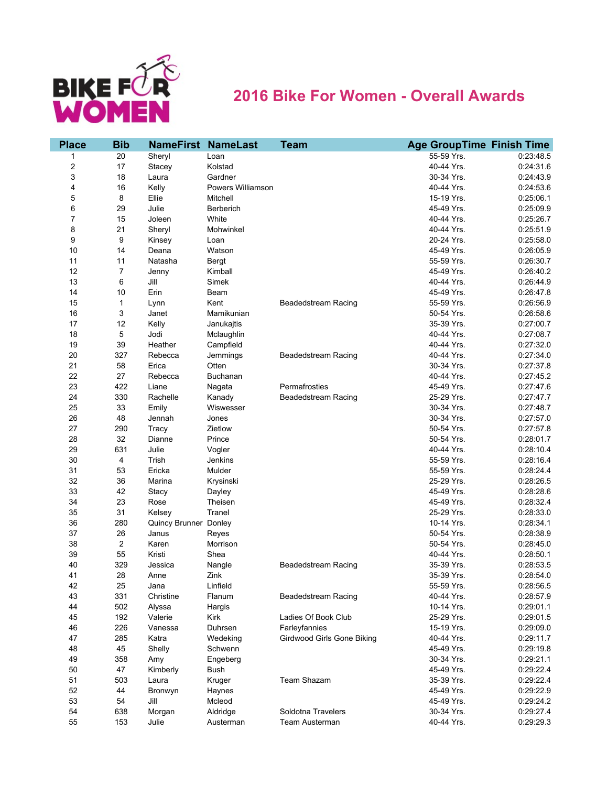

## **2016 Bike For Women - Overall Awards**

| <b>Place</b> | <b>Bib</b>     | <b>NameFirst NameLast</b> |                   | <b>Team</b>                | <b>Age GroupTime Finish Time</b> |           |
|--------------|----------------|---------------------------|-------------------|----------------------------|----------------------------------|-----------|
| 1            | 20             | Sheryl                    | Loan              |                            | 55-59 Yrs.                       | 0:23:48.5 |
| 2            | 17             | Stacey                    | Kolstad           |                            | 40-44 Yrs.                       | 0:24:31.6 |
| 3            | 18             | Laura                     | Gardner           |                            | 30-34 Yrs.                       | 0:24:43.9 |
| 4            | 16             | Kelly                     | Powers Williamson |                            | 40-44 Yrs.                       | 0:24:53.6 |
| 5            | 8              | Ellie                     | Mitchell          |                            | 15-19 Yrs.                       | 0:25:06.1 |
| 6            | 29             | Julie                     | Berberich         |                            | 45-49 Yrs.                       | 0:25:09.9 |
| 7            | 15             | Joleen                    | White             |                            | 40-44 Yrs.                       | 0:25:26.7 |
| 8            | 21             | Sheryl                    | Mohwinkel         |                            | 40-44 Yrs.                       | 0:25:51.9 |
| 9            | 9              | Kinsey                    | Loan              |                            | 20-24 Yrs.                       | 0:25:58.0 |
| 10           | 14             | Deana                     | Watson            |                            | 45-49 Yrs.                       | 0:26:05.9 |
| 11           | 11             | Natasha                   | Bergt             |                            | 55-59 Yrs.                       | 0:26:30.7 |
| 12           | 7              | Jenny                     | Kimball           |                            | 45-49 Yrs.                       | 0:26:40.2 |
| 13           | 6              | Jill                      | Simek             |                            | 40-44 Yrs.                       | 0:26:44.9 |
| 14           | 10             | Erin                      | Beam              |                            | 45-49 Yrs.                       | 0:26:47.8 |
| 15           | $\mathbf{1}$   | Lynn                      | Kent              | <b>Beadedstream Racing</b> | 55-59 Yrs.                       | 0:26:56.9 |
| 16           | 3              | Janet                     | Mamikunian        |                            | 50-54 Yrs.                       | 0:26:58.6 |
| 17           | 12             | Kelly                     | Janukajtis        |                            | 35-39 Yrs.                       | 0:27:00.7 |
| 18           | 5              | Jodi                      | Mclaughlin        |                            | 40-44 Yrs.                       | 0:27:08.7 |
| 19           | 39             | Heather                   | Campfield         |                            | 40-44 Yrs.                       | 0:27:32.0 |
| 20           | 327            | Rebecca                   | Jemmings          | Beadedstream Racing        | 40-44 Yrs.                       | 0:27:34.0 |
| 21           | 58             | Erica                     | Otten             |                            | 30-34 Yrs.                       | 0:27:37.8 |
| 22           | 27             | Rebecca                   | Buchanan          |                            | 40-44 Yrs.                       | 0:27:45.2 |
| 23           | 422            | Liane                     | Nagata            | Permafrosties              | 45-49 Yrs.                       | 0.27:47.6 |
| 24           | 330            | Rachelle                  | Kanady            | <b>Beadedstream Racing</b> | 25-29 Yrs.                       | 0:27:47.7 |
| 25           | 33             | Emily                     | Wiswesser         |                            | 30-34 Yrs.                       | 0:27:48.7 |
| 26           | 48             | Jennah                    | Jones             |                            | 30-34 Yrs.                       | 0:27:57.0 |
| 27           | 290            | Tracy                     | Zietlow           |                            | 50-54 Yrs.                       | 0:27:57.8 |
| 28           | 32             | Dianne                    | Prince            |                            | 50-54 Yrs.                       | 0:28:01.7 |
| 29           | 631            | Julie                     | Vogler            |                            | 40-44 Yrs.                       | 0:28:10.4 |
| 30           | 4              | Trish                     | Jenkins           |                            | 55-59 Yrs.                       | 0:28:16.4 |
| 31           | 53             | Ericka                    | Mulder            |                            | 55-59 Yrs.                       | 0:28:24.4 |
| 32           | 36             | Marina                    | Krysinski         |                            | 25-29 Yrs.                       | 0:28:26.5 |
| 33           | 42             | Stacy                     | Dayley            |                            | 45-49 Yrs.                       | 0:28:28.6 |
| 34           | 23             | Rose                      | Theisen           |                            | 45-49 Yrs.                       | 0:28:32.4 |
| 35           | 31             | Kelsey                    | Tranel            |                            | 25-29 Yrs.                       | 0:28:33.0 |
| 36           | 280            | Quincy Brunner Donley     |                   |                            | 10-14 Yrs.                       | 0:28:34.1 |
| 37           | 26             | Janus                     | Reyes             |                            | 50-54 Yrs.                       | 0:28:38.9 |
| 38           | $\overline{2}$ | Karen                     | Morrison          |                            | 50-54 Yrs.                       | 0:28:45.0 |
| 39           | 55             | Kristi                    | Shea              |                            | 40-44 Yrs.                       | 0:28:50.1 |
| 40           | 329            | Jessica                   | Nangle            | <b>Beadedstream Racing</b> | 35-39 Yrs.                       | 0:28:53.5 |
| 41           | 28             | Anne                      | Zink              |                            | 35-39 Yrs.                       | 0:28:54.0 |
| 42           | 25             | Jana                      | Linfield          |                            | 55-59 Yrs.                       | 0.28.56.5 |
| 43           | 331            | Christine                 | Flanum            | <b>Beadedstream Racing</b> | 40-44 Yrs.                       | 0:28:57.9 |
| 44           | 502            | Alyssa                    | Hargis            |                            | 10-14 Yrs.                       | 0:29:01.1 |
| 45           | 192            | Valerie                   | Kirk              | Ladies Of Book Club        | 25-29 Yrs.                       | 0:29:01.5 |
| 46           | 226            | Vanessa                   | Duhrsen           | Farleyfannies              | 15-19 Yrs.                       | 0:29:09.0 |
| 47           | 285            | Katra                     | Wedeking          | Girdwood Girls Gone Biking | 40-44 Yrs.                       | 0:29:11.7 |
| 48           | 45             | Shelly                    | Schwenn           |                            | 45-49 Yrs.                       | 0:29:19.8 |
| 49           | 358            | Amy                       | Engeberg          |                            | 30-34 Yrs.                       | 0:29:21.1 |
| 50           | 47             | Kimberly                  | Bush              |                            | 45-49 Yrs.                       | 0:29:22.4 |
| 51           | 503            | Laura                     | Kruger            | Team Shazam                | 35-39 Yrs.                       | 0:29:22.4 |
| 52           | 44             | Bronwyn                   | Haynes            |                            | 45-49 Yrs.                       | 0:29:22.9 |
| 53           | 54             | Jill                      | Mcleod            |                            | 45-49 Yrs.                       | 0:29:24.2 |
| 54           | 638            | Morgan                    | Aldridge          | Soldotna Travelers         | 30-34 Yrs.                       | 0:29:27.4 |
| 55           | 153            | Julie                     | Austerman         | Team Austerman             | 40-44 Yrs.                       | 0:29:29.3 |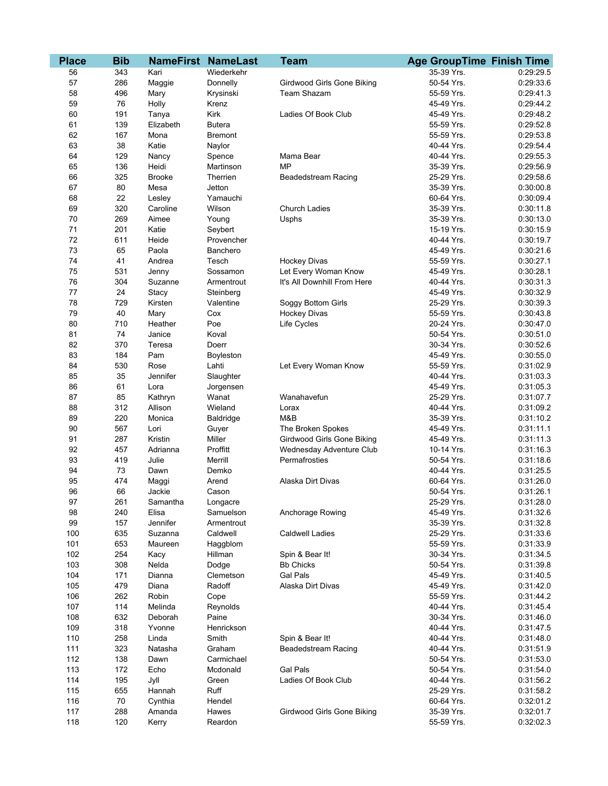| <b>Place</b> | <b>Bib</b> | <b>NameFirst NameLast</b> | <b>Team</b>    |                             | <b>Age GroupTime Finish Time</b> |           |
|--------------|------------|---------------------------|----------------|-----------------------------|----------------------------------|-----------|
| 56           | 343        | Kari                      | Wiederkehr     |                             | 35-39 Yrs.                       | 0:29:29.5 |
| 57           | 286        | Maggie                    | Donnelly       | Girdwood Girls Gone Biking  | 50-54 Yrs.                       | 0:29:33.6 |
| 58           | 496        | Mary                      | Krysinski      | <b>Team Shazam</b>          | 55-59 Yrs.                       | 0:29:41.3 |
| 59           | 76         | Holly                     | Krenz          |                             | 45-49 Yrs.                       | 0:29:44.2 |
| 60           | 191        | Tanya                     | Kirk           | Ladies Of Book Club         | 45-49 Yrs.                       | 0:29:48.2 |
| 61           | 139        | Elizabeth                 | <b>Butera</b>  |                             | 55-59 Yrs.                       | 0:29:52.8 |
| 62           | 167        | Mona                      | <b>Bremont</b> |                             | 55-59 Yrs.                       | 0:29:53.8 |
| 63           | 38         | Katie                     | Naylor         |                             | 40-44 Yrs.                       | 0:29:54.4 |
| 64           | 129        | Nancy                     | Spence         | Mama Bear                   | 40-44 Yrs.                       | 0:29:55.3 |
| 65           | 136        | Heidi                     | Martinson      | <b>MP</b>                   | 35-39 Yrs.                       | 0:29:56.9 |
| 66           | 325        | <b>Brooke</b>             | Therrien       | Beadedstream Racing         | 25-29 Yrs.                       | 0:29:58.6 |
| 67           | 80         | Mesa                      | Jetton         |                             | 35-39 Yrs.                       | 0:30:00.8 |
| 68           | 22         | Lesley                    | Yamauchi       |                             | 60-64 Yrs.                       | 0:30:09.4 |
| 69           | 320        | Caroline                  | Wilson         | <b>Church Ladies</b>        | 35-39 Yrs.                       | 0:30:11.8 |
| 70           | 269        | Aimee                     | Young          | Usphs                       | 35-39 Yrs.                       | 0:30:13.0 |
| 71           | 201        | Katie                     | Seybert        |                             | 15-19 Yrs.                       | 0:30:15.9 |
| 72           | 611        | Heide                     | Provencher     |                             | 40-44 Yrs.                       | 0:30:19.7 |
| 73           | 65         | Paola                     | Banchero       |                             | 45-49 Yrs.                       | 0:30:21.6 |
| 74           | 41         | Andrea                    | Tesch          | <b>Hockey Divas</b>         | 55-59 Yrs.                       | 0:30:27.1 |
| 75           | 531        | Jenny                     | Sossamon       | Let Every Woman Know        | 45-49 Yrs.                       | 0:30:28.1 |
| 76           | 304        | Suzanne                   | Armentrout     | It's All Downhill From Here | 40-44 Yrs.                       | 0:30:31.3 |
| 77           | 24         | Stacy                     | Steinberg      |                             | 45-49 Yrs.                       | 0:30:32.9 |
| 78           | 729        | Kirsten                   | Valentine      | Soggy Bottom Girls          | 25-29 Yrs.                       | 0:30:39.3 |
| 79           | 40         | Mary                      | Cox            | <b>Hockey Divas</b>         | 55-59 Yrs.                       | 0:30:43.8 |
| 80           | 710        | Heather                   | Poe            | Life Cycles                 | 20-24 Yrs.                       | 0:30:47.0 |
| 81           | 74         | Janice                    | Koval          |                             | 50-54 Yrs.                       | 0:30:51.0 |
| 82           | 370        | Teresa                    | Doerr          |                             | 30-34 Yrs.                       | 0:30:52.6 |
| 83           | 184        | Pam                       | Boyleston      |                             | 45-49 Yrs.                       | 0:30:55.0 |
| 84           | 530        | Rose                      | Lahti          | Let Every Woman Know        | 55-59 Yrs.                       | 0:31:02.9 |
| 85           | 35         | Jennifer                  | Slaughter      |                             | 40-44 Yrs.                       | 0:31:03.3 |
| 86           | 61         | Lora                      | Jorgensen      |                             | 45-49 Yrs.                       | 0:31:05.3 |
| 87           | 85         | Kathryn                   | Wanat          | Wanahavefun                 | 25-29 Yrs.                       | 0:31:07.7 |
| 88           | 312        | Allison                   | Wieland        | Lorax                       | 40-44 Yrs.                       | 0:31:09.2 |
| 89           | 220        | Monica                    | Baldridge      | M&B                         | 35-39 Yrs.                       | 0:31:10.2 |
| 90           | 567        | Lori                      | Guyer          | The Broken Spokes           | 45-49 Yrs.                       | 0:31:11.1 |
| 91           | 287        | Kristin                   | Miller         | Girdwood Girls Gone Biking  | 45-49 Yrs.                       | 0:31:11.3 |
| 92           | 457        | Adrianna                  | Proffitt       | Wednesday Adventure Club    | 10-14 Yrs.                       | 0:31:16.3 |
| 93           | 419        | Julie                     | Merrill        | Permafrosties               | 50-54 Yrs.                       | 0:31:18.6 |
| 94           | 73         | Dawn                      | Demko          |                             | 40-44 Yrs.                       | 0:31:25.5 |
| 95           | 474        | Maggi                     | Arend          | Alaska Dirt Divas           | 60-64 Yrs.                       | 0:31:26.0 |
| 96           | 66         | Jackie                    | Cason          |                             | 50-54 Yrs.                       | 0:31:26.1 |
| 97           | 261        | Samantha                  | Longacre       |                             | 25-29 Yrs.                       | 0:31:28.0 |
| 98           | 240        | Elisa                     | Samuelson      | Anchorage Rowing            | 45-49 Yrs.                       | 0:31:32.6 |
| 99           | 157        | Jennifer                  | Armentrout     |                             | 35-39 Yrs.                       | 0:31:32.8 |
| 100          | 635        | Suzanna                   | Caldwell       | <b>Caldwell Ladies</b>      | 25-29 Yrs.                       | 0:31:33.6 |
| 101          | 653        | Maureen                   | Haggblom       |                             | 55-59 Yrs.                       | 0:31:33.9 |
| 102          | 254        | Kacy                      | Hillman        | Spin & Bear It!             | 30-34 Yrs.                       | 0:31:34.5 |
| 103          | 308        | Nelda                     | Dodge          | <b>Bb Chicks</b>            | 50-54 Yrs.                       | 0:31:39.8 |
| 104          | 171        | Dianna                    | Clemetson      | Gal Pals                    | 45-49 Yrs.                       | 0:31:40.5 |
| 105          | 479        | Diana                     | Radoff         | Alaska Dirt Divas           | 45-49 Yrs.                       | 0:31:42.0 |
| 106          | 262        | Robin                     | Cope           |                             | 55-59 Yrs.                       | 0:31:44.2 |
| 107          | 114        | Melinda                   | Reynolds       |                             | 40-44 Yrs.                       | 0:31:45.4 |
| 108          | 632        | Deborah                   | Paine          |                             | 30-34 Yrs.                       | 0:31:46.0 |
| 109          | 318        | Yvonne                    | Henrickson     |                             | 40-44 Yrs.                       | 0:31:47.5 |
| 110          | 258        | Linda                     | Smith          | Spin & Bear It!             | 40-44 Yrs.                       | 0:31:48.0 |
| 111          | 323        | Natasha                   | Graham         | <b>Beadedstream Racing</b>  | 40-44 Yrs.                       | 0:31:51.9 |
| 112          | 138        | Dawn                      | Carmichael     |                             | 50-54 Yrs.                       | 0:31:53.0 |
| 113          | 172        | Echo                      | Mcdonald       | <b>Gal Pals</b>             | 50-54 Yrs.                       | 0:31:54.0 |
| 114          | 195        | Jyll                      | Green          | Ladies Of Book Club         | 40-44 Yrs.                       | 0:31:56.2 |
| 115          | 655        | Hannah                    | Ruff           |                             | 25-29 Yrs.                       | 0:31:58.2 |
| 116          | 70         | Cynthia                   | Hendel         |                             | 60-64 Yrs.                       | 0:32:01.2 |
| 117          | 288        | Amanda                    | Hawes          | Girdwood Girls Gone Biking  | 35-39 Yrs.                       | 0:32:01.7 |
| 118          | 120        | Kerry                     | Reardon        |                             | 55-59 Yrs.                       | 0:32:02.3 |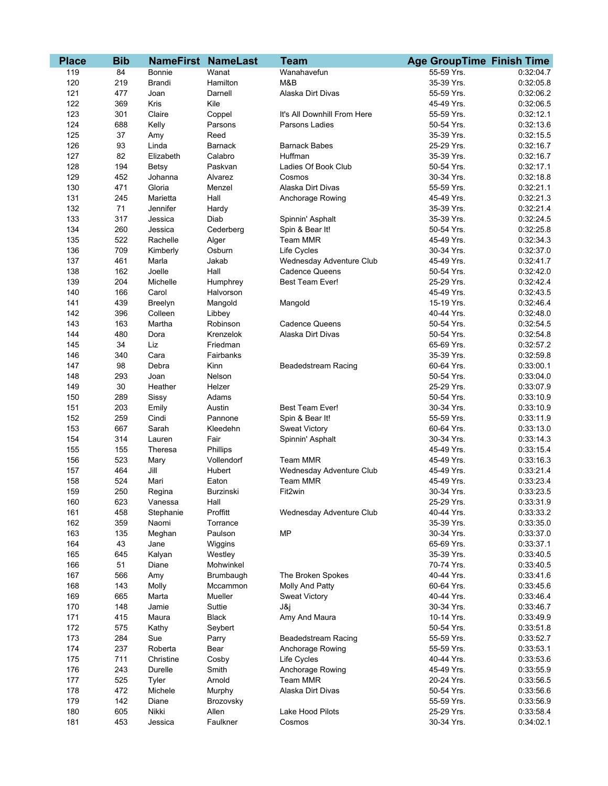| <b>Place</b> | <b>Bib</b> |               | <b>NameFirst NameLast</b> | <b>Team</b>                 | <b>Age GroupTime Finish Time</b> |           |
|--------------|------------|---------------|---------------------------|-----------------------------|----------------------------------|-----------|
| 119          | 84         | <b>Bonnie</b> | Wanat                     | Wanahavefun                 | 55-59 Yrs.                       | 0:32:04.7 |
| 120          | 219        | <b>Brandi</b> | Hamilton                  | M&B                         | 35-39 Yrs.                       | 0:32:05.8 |
| 121          | 477        | Joan          | Darnell                   | Alaska Dirt Divas           | 55-59 Yrs.                       | 0:32:06.2 |
| 122          | 369        | Kris          | Kile                      |                             | 45-49 Yrs.                       | 0:32:06.5 |
| 123          | 301        | Claire        | Coppel                    | It's All Downhill From Here | 55-59 Yrs.                       | 0:32:12.1 |
| 124          | 688        | Kelly         | Parsons                   | Parsons Ladies              | 50-54 Yrs.                       | 0:32:13.6 |
| 125          | 37         | Amy           | Reed                      |                             | 35-39 Yrs.                       | 0:32:15.5 |
| 126          | 93         | Linda         | <b>Barnack</b>            | <b>Barnack Babes</b>        | 25-29 Yrs.                       | 0:32:16.7 |
| 127          | 82         | Elizabeth     | Calabro                   | Huffman                     | 35-39 Yrs.                       | 0:32:16.7 |
| 128          | 194        | Betsy         | Paskvan                   | Ladies Of Book Club         | 50-54 Yrs.                       | 0:32:17.1 |
| 129          | 452        | Johanna       | Alvarez                   | Cosmos                      | 30-34 Yrs.                       | 0:32:18.8 |
| 130          | 471        | Gloria        | Menzel                    | Alaska Dirt Divas           | 55-59 Yrs.                       | 0:32:21.1 |
| 131          | 245        | Marietta      | Hall                      | Anchorage Rowing            | 45-49 Yrs.                       | 0:32:21.3 |
| 132          | 71         | Jennifer      | Hardy                     |                             | 35-39 Yrs.                       | 0:32:21.4 |
| 133          | 317        | Jessica       | Diab                      | Spinnin' Asphalt            | 35-39 Yrs.                       | 0:32:24.5 |
| 134          | 260        | Jessica       | Cederberg                 | Spin & Bear It!             | 50-54 Yrs.                       | 0:32:25.8 |
| 135          | 522        | Rachelle      | Alger                     | <b>Team MMR</b>             | 45-49 Yrs.                       | 0:32:34.3 |
| 136          | 709        | Kimberly      | Osburn                    | Life Cycles                 | 30-34 Yrs.                       | 0:32:37.0 |
| 137          | 461        | Marla         | Jakab                     | Wednesday Adventure Club    | 45-49 Yrs.                       | 0:32:41.7 |
| 138          | 162        | Joelle        | Hall                      | <b>Cadence Queens</b>       | 50-54 Yrs.                       | 0:32:42.0 |
| 139          | 204        | Michelle      | Humphrey                  | <b>Best Team Ever!</b>      | 25-29 Yrs.                       | 0:32:42.4 |
| 140          | 166        | Carol         | Halvorson                 |                             | 45-49 Yrs.                       | 0:32:43.5 |
| 141          | 439        | Breelyn       | Mangold                   | Mangold                     | 15-19 Yrs.                       | 0:32:46.4 |
| 142          | 396        | Colleen       | Libbey                    |                             | 40-44 Yrs.                       | 0:32:48.0 |
| 143          | 163        | Martha        | Robinson                  | <b>Cadence Queens</b>       | 50-54 Yrs.                       | 0:32:54.5 |
| 144          | 480        | Dora          | Krenzelok                 | Alaska Dirt Divas           | 50-54 Yrs.                       | 0:32:54.8 |
| 145          | 34         | Liz           | Friedman                  |                             | 65-69 Yrs.                       | 0:32:57.2 |
| 146          | 340        | Cara          | Fairbanks                 |                             | 35-39 Yrs.                       | 0:32:59.8 |
| 147          | 98         | Debra         | Kinn                      | <b>Beadedstream Racing</b>  | 60-64 Yrs.                       | 0:33:00.1 |
| 148          | 293        | Joan          | Nelson                    |                             | 50-54 Yrs.                       | 0:33:04.0 |
| 149          | 30         | Heather       | Helzer                    |                             | 25-29 Yrs.                       | 0:33:07.9 |
| 150          | 289        | Sissy         | Adams                     |                             | 50-54 Yrs.                       | 0:33:10.9 |
| 151          | 203        | Emily         | Austin                    | <b>Best Team Ever!</b>      | 30-34 Yrs.                       | 0:33:10.9 |
| 152          | 259        | Cindi         | Pannone                   | Spin & Bear It!             | 55-59 Yrs.                       | 0:33:11.9 |
| 153          | 667        | Sarah         | Kleedehn                  | <b>Sweat Victory</b>        | 60-64 Yrs.                       | 0:33:13.0 |
| 154          | 314        | Lauren        | Fair                      | Spinnin' Asphalt            | 30-34 Yrs.                       | 0:33:14.3 |
| 155          | 155        | Theresa       | Phillips                  |                             | 45-49 Yrs.                       | 0:33:15.4 |
| 156          | 523        | Mary          | Vollendorf                | <b>Team MMR</b>             | 45-49 Yrs.                       | 0:33:16.3 |
| 157          | 464        | Jill          | Hubert                    | Wednesday Adventure Club    | 45-49 Yrs.                       | 0:33:21.4 |
| 158          | 524        | Mari          | Eaton                     | <b>Team MMR</b>             | 45-49 Yrs.                       | 0:33:23.4 |
| 159          | 250        | Regina        | Burzinski                 | Fit2win                     | 30-34 Yrs.                       | 0:33:23.5 |
| 160          | 623        | Vanessa       | Hall                      |                             | 25-29 Yrs.                       | 0:33:31.9 |
| 161          | 458        | Stephanie     | Proffitt                  | Wednesday Adventure Club    | 40-44 Yrs.                       | 0:33:33.2 |
| 162          | 359        | Naomi         | Torrance                  |                             | 35-39 Yrs.                       | 0:33:35.0 |
| 163          | 135        | Meghan        | Paulson                   | <b>MP</b>                   | 30-34 Yrs.                       | 0:33:37.0 |
| 164          | 43         | Jane          | Wiggins                   |                             | 65-69 Yrs.                       | 0:33:37.1 |
| 165          | 645        | Kalyan        | Westley                   |                             | 35-39 Yrs.                       | 0:33:40.5 |
| 166          | 51         | Diane         | Mohwinkel                 |                             | 70-74 Yrs.                       | 0:33:40.5 |
| 167          | 566        | Amy           | Brumbaugh                 | The Broken Spokes           | 40-44 Yrs.                       | 0:33:41.6 |
| 168          | 143        | Molly         | Mccammon                  | Molly And Patty             | 60-64 Yrs.                       | 0:33:45.6 |
| 169          | 665        | Marta         | Mueller                   | <b>Sweat Victory</b>        | 40-44 Yrs.                       | 0:33:46.4 |
| 170          | 148        | Jamie         | Suttie                    | J&j                         | 30-34 Yrs.                       | 0:33:46.7 |
| 171          | 415        | Maura         | <b>Black</b>              | Amy And Maura               | 10-14 Yrs.                       | 0:33:49.9 |
| 172          | 575        | Kathy         | Seybert                   |                             | 50-54 Yrs.                       | 0:33:51.8 |
| 173          | 284        | Sue           | Parry                     | <b>Beadedstream Racing</b>  | 55-59 Yrs.                       | 0:33:52.7 |
| 174          | 237        | Roberta       | Bear                      | Anchorage Rowing            | 55-59 Yrs.                       | 0:33:53.1 |
| 175          | 711        | Christine     | Cosby                     | Life Cycles                 | 40-44 Yrs.                       | 0:33:53.6 |
| 176          | 243        | Durelle       | Smith                     | Anchorage Rowing            | 45-49 Yrs.                       | 0:33:55.9 |
| 177          | 525        | Tyler         | Arnold                    | Team MMR                    | 20-24 Yrs.                       | 0:33:56.5 |
| 178          | 472        | Michele       | Murphy                    | Alaska Dirt Divas           | 50-54 Yrs.                       | 0:33:56.6 |
| 179          | 142        | Diane         | Brozovsky                 |                             | 55-59 Yrs.                       | 0:33:56.9 |
| 180          | 605        | Nikki         | Allen                     | Lake Hood Pilots            | 25-29 Yrs.                       | 0:33:58.4 |
| 181          | 453        | Jessica       | Faulkner                  | Cosmos                      | 30-34 Yrs.                       | 0:34:02.1 |
|              |            |               |                           |                             |                                  |           |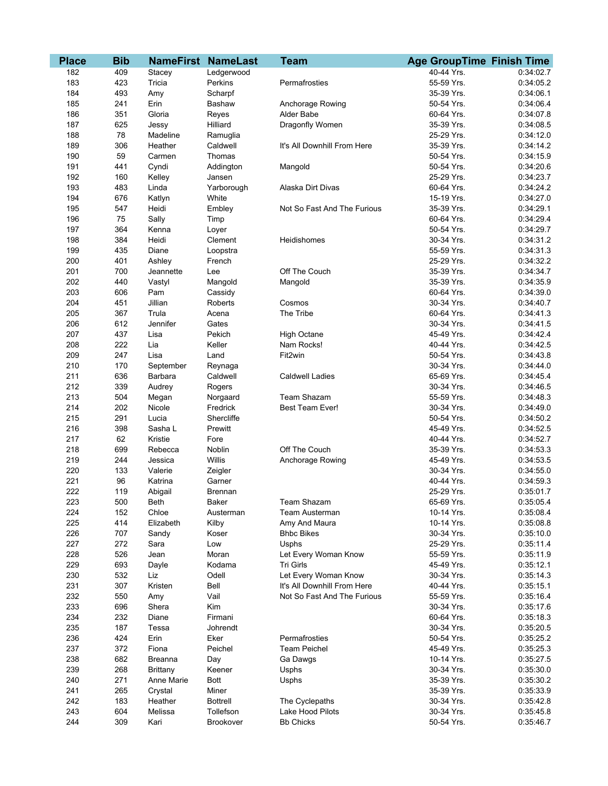| <b>Place</b> | <b>Bib</b> |                 | <b>NameFirst NameLast</b> | <b>Team</b>                 | <b>Age GroupTime Finish Time</b> |           |
|--------------|------------|-----------------|---------------------------|-----------------------------|----------------------------------|-----------|
| 182          | 409        | Stacey          | Ledgerwood                |                             | 40-44 Yrs.                       | 0:34:02.7 |
| 183          | 423        | Tricia          | Perkins                   | Permafrosties               | 55-59 Yrs.                       | 0:34:05.2 |
| 184          | 493        | Amy             | Scharpf                   |                             | 35-39 Yrs.                       | 0:34:06.1 |
| 185          | 241        | Erin            | Bashaw                    | Anchorage Rowing            | 50-54 Yrs.                       | 0:34:06.4 |
| 186          | 351        | Gloria          | Reyes                     | Alder Babe                  | 60-64 Yrs.                       | 0:34:07.8 |
| 187          | 625        | Jessy           | Hilliard                  | Dragonfly Women             | 35-39 Yrs.                       | 0:34:08.5 |
| 188          | 78         | Madeline        | Ramuglia                  |                             | 25-29 Yrs.                       | 0:34:12.0 |
| 189          | 306        | Heather         | Caldwell                  | It's All Downhill From Here | 35-39 Yrs.                       | 0:34:14.2 |
| 190          | 59         | Carmen          | Thomas                    |                             | 50-54 Yrs.                       | 0:34:15.9 |
| 191          | 441        | Cyndi           | Addington                 | Mangold                     | 50-54 Yrs.                       | 0:34:20.6 |
| 192          | 160        | Kelley          | Jansen                    |                             | 25-29 Yrs.                       | 0:34:23.7 |
| 193          | 483        | Linda           | Yarborough                | Alaska Dirt Divas           | 60-64 Yrs.                       | 0:34:24.2 |
| 194          | 676        | Katlyn          | White                     |                             | 15-19 Yrs.                       | 0:34:27.0 |
| 195          | 547        | Heidi           | Embley                    | Not So Fast And The Furious | 35-39 Yrs.                       | 0:34:29.1 |
| 196          | 75         | Sally           | Timp                      |                             | 60-64 Yrs.                       | 0:34:29.4 |
| 197          | 364        | Kenna           | Loyer                     |                             | 50-54 Yrs.                       | 0:34:29.7 |
| 198          | 384        | Heidi           | Clement                   | Heidishomes                 | 30-34 Yrs.                       | 0:34:31.2 |
| 199          | 435        | Diane           | Loopstra                  |                             | 55-59 Yrs.                       | 0:34:31.3 |
| 200          | 401        | Ashley          | French                    |                             | 25-29 Yrs.                       | 0:34:32.2 |
| 201          | 700        | Jeannette       | Lee                       | Off The Couch               | 35-39 Yrs.                       | 0:34:34.7 |
| 202          | 440        | Vastyl          | Mangold                   | Mangold                     | 35-39 Yrs.                       | 0:34:35.9 |
| 203          | 606        | Pam             | Cassidy                   |                             | 60-64 Yrs.                       | 0:34:39.0 |
| 204          | 451        | Jillian         | Roberts                   | Cosmos                      | 30-34 Yrs.                       | 0:34:40.7 |
| 205          | 367        | Trula           | Acena                     | The Tribe                   | 60-64 Yrs.                       | 0:34:41.3 |
| 206          | 612        | Jennifer        | Gates                     |                             | 30-34 Yrs.                       | 0:34:41.5 |
| 207          | 437        | Lisa            | Pekich                    | <b>High Octane</b>          | 45-49 Yrs.                       | 0:34:42.4 |
| 208          | 222        | Lia             | Keller                    | Nam Rocks!                  | 40-44 Yrs.                       | 0:34:42.5 |
| 209          | 247        | Lisa            | Land                      | Fit2win                     | 50-54 Yrs.                       | 0:34:43.8 |
| 210          | 170        | September       | Reynaga                   |                             | 30-34 Yrs.                       | 0:34:44.0 |
| 211          | 636        | <b>Barbara</b>  | Caldwell                  | <b>Caldwell Ladies</b>      | 65-69 Yrs.                       | 0:34:45.4 |
| 212          | 339        | Audrey          | Rogers                    |                             | 30-34 Yrs.                       | 0:34:46.5 |
| 213          | 504        | Megan           | Norgaard                  | Team Shazam                 | 55-59 Yrs.                       | 0:34:48.3 |
| 214          | 202        | Nicole          | Fredrick                  | Best Team Ever!             | 30-34 Yrs.                       | 0:34:49.0 |
| 215          | 291        | Lucia           | Shercliffe                |                             | 50-54 Yrs.                       | 0:34:50.2 |
| 216          | 398        | Sasha L         | Prewitt                   |                             | 45-49 Yrs.                       | 0:34:52.5 |
| 217          | 62         | Kristie         | Fore                      |                             | 40-44 Yrs.                       | 0:34:52.7 |
| 218          | 699        | Rebecca         | Noblin                    | Off The Couch               | 35-39 Yrs.                       | 0:34:53.3 |
| 219          | 244        | Jessica         | Willis                    | Anchorage Rowing            | 45-49 Yrs.                       | 0:34:53.5 |
| 220          | 133        | Valerie         | Zeigler                   |                             | 30-34 Yrs.                       | 0:34:55.0 |
| 221          | 96         | Katrina         | Garner                    |                             | 40-44 Yrs.                       | 0:34:59.3 |
| 222          | 119        | Abigail         | Brennan                   |                             | 25-29 Yrs.                       | 0:35:01.7 |
| 223          | 500        | Beth            | <b>Baker</b>              | Team Shazam                 | 65-69 Yrs.                       | 0:35:05.4 |
| 224          | 152        | Chloe           | Austerman                 | Team Austerman              | 10-14 Yrs.                       | 0:35:08.4 |
| 225          | 414        | Elizabeth       | Kilby                     | Amy And Maura               | 10-14 Yrs.                       | 0:35:08.8 |
| 226          | 707        | Sandy           | Koser                     | <b>Bhbc Bikes</b>           | 30-34 Yrs.                       | 0:35:10.0 |
| 227          | 272        | Sara            | Low                       | Usphs                       | 25-29 Yrs.                       | 0:35:11.4 |
| 228          | 526        | Jean            | Moran                     | Let Every Woman Know        | 55-59 Yrs.                       | 0:35:11.9 |
| 229          | 693        | Dayle           | Kodama                    | Tri Girls                   | 45-49 Yrs.                       | 0:35:12.1 |
| 230          | 532        | Liz             | Odell                     | Let Every Woman Know        | 30-34 Yrs.                       | 0:35:14.3 |
| 231          | 307        | Kristen         | Bell                      | It's All Downhill From Here | 40-44 Yrs.                       | 0:35:15.1 |
| 232          | 550        | Amy             | Vail                      | Not So Fast And The Furious | 55-59 Yrs.                       | 0:35:16.4 |
| 233          | 696        | Shera           | Kim                       |                             | 30-34 Yrs.                       | 0:35:17.6 |
| 234          | 232        | Diane           | Firmani                   |                             | 60-64 Yrs.                       | 0:35:18.3 |
| 235          | 187        | Tessa           | Johrendt                  |                             | 30-34 Yrs.                       | 0:35:20.5 |
| 236          | 424        | Erin            | Eker                      | Permafrosties               | 50-54 Yrs.                       | 0:35:25.2 |
| 237          | 372        | Fiona           | Peichel                   | <b>Team Peichel</b>         | 45-49 Yrs.                       | 0:35:25.3 |
| 238          | 682        | <b>Breanna</b>  | Day                       | Ga Dawgs                    | 10-14 Yrs.                       | 0:35:27.5 |
| 239          | 268        | <b>Brittany</b> | Keener                    | Usphs                       | 30-34 Yrs.                       | 0:35:30.0 |
| 240          | 271        | Anne Marie      | <b>Bott</b>               | Usphs                       | 35-39 Yrs.                       | 0:35:30.2 |
| 241          | 265        | Crystal         | Miner                     |                             | 35-39 Yrs.                       | 0:35:33.9 |
| 242          | 183        | Heather         | <b>Bottrell</b>           | The Cyclepaths              | 30-34 Yrs.                       | 0:35:42.8 |
| 243          | 604        | Melissa         | Tollefson                 | Lake Hood Pilots            | 30-34 Yrs.                       | 0:35:45.8 |
| 244          | 309        | Kari            | Brookover                 | <b>Bb Chicks</b>            | 50-54 Yrs.                       | 0:35:46.7 |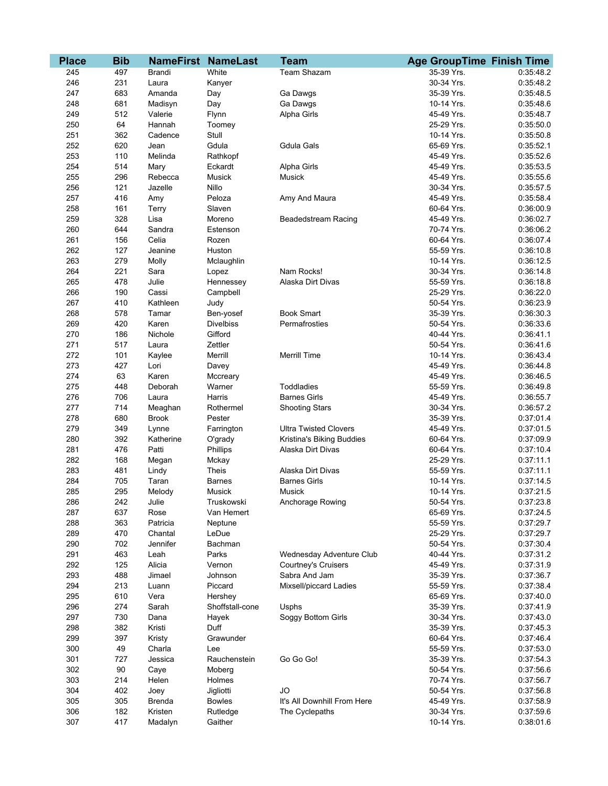| <b>Place</b> | <b>Bib</b> |               | <b>NameFirst NameLast</b> | <b>Team</b>                  | <b>Age GroupTime Finish Time</b> |           |
|--------------|------------|---------------|---------------------------|------------------------------|----------------------------------|-----------|
| 245          | 497        | <b>Brandi</b> | White                     | Team Shazam                  | 35-39 Yrs.                       | 0:35:48.2 |
| 246          | 231        | Laura         | Kanyer                    |                              | 30-34 Yrs.                       | 0:35:48.2 |
| 247          | 683        | Amanda        | Day                       | Ga Dawgs                     | 35-39 Yrs.                       | 0:35:48.5 |
| 248          | 681        | Madisyn       | Day                       | Ga Dawgs                     | 10-14 Yrs.                       | 0:35:48.6 |
| 249          | 512        | Valerie       | Flynn                     | Alpha Girls                  | 45-49 Yrs.                       | 0:35:48.7 |
| 250          | 64         | Hannah        | Toomey                    |                              | 25-29 Yrs.                       | 0:35:50.0 |
| 251          | 362        | Cadence       | Stull                     |                              | 10-14 Yrs.                       | 0:35:50.8 |
| 252          | 620        | Jean          | Gdula                     | <b>Gdula Gals</b>            | 65-69 Yrs.                       | 0:35:52.1 |
| 253          | 110        | Melinda       | Rathkopf                  |                              | 45-49 Yrs.                       | 0:35:52.6 |
| 254          | 514        | Mary          | Eckardt                   | Alpha Girls                  | 45-49 Yrs.                       | 0:35:53.5 |
| 255          | 296        | Rebecca       | Musick                    | Musick                       | 45-49 Yrs.                       | 0:35:55.6 |
| 256          | 121        | Jazelle       | Nillo                     |                              | 30-34 Yrs.                       | 0:35:57.5 |
| 257          | 416        | Amy           | Peloza                    | Amy And Maura                | 45-49 Yrs.                       | 0:35:58.4 |
| 258          | 161        | Terry         | Slaven                    |                              | 60-64 Yrs.                       | 0:36:00.9 |
| 259          | 328        | Lisa          | Moreno                    | <b>Beadedstream Racing</b>   | 45-49 Yrs.                       | 0:36:02.7 |
| 260          | 644        | Sandra        | Estenson                  |                              | 70-74 Yrs.                       | 0:36:06.2 |
| 261          | 156        | Celia         | Rozen                     |                              | 60-64 Yrs.                       | 0:36:07.4 |
| 262          | 127        | Jeanine       | Huston                    |                              | 55-59 Yrs.                       | 0:36:10.8 |
| 263          | 279        | Molly         | Mclaughlin                |                              | 10-14 Yrs.                       | 0:36:12.5 |
| 264          | 221        | Sara          | Lopez                     | Nam Rocks!                   | 30-34 Yrs.                       | 0:36:14.8 |
| 265          | 478        | Julie         | Hennessey                 | Alaska Dirt Divas            | 55-59 Yrs.                       | 0:36:18.8 |
| 266          | 190        | Cassi         | Campbell                  |                              | 25-29 Yrs.                       | 0:36:22.0 |
| 267          | 410        | Kathleen      | Judy                      |                              | 50-54 Yrs.                       | 0:36:23.9 |
| 268          | 578        | Tamar         | Ben-yosef                 | <b>Book Smart</b>            | 35-39 Yrs.                       | 0:36:30.3 |
| 269          | 420        | Karen         | <b>Divelbiss</b>          | Permafrosties                | 50-54 Yrs.                       | 0:36:33.6 |
| 270          | 186        | Nichole       | Gifford                   |                              | 40-44 Yrs.                       | 0:36:41.1 |
| 271          | 517        | Laura         | Zettler                   |                              | 50-54 Yrs.                       | 0:36:41.6 |
| 272          | 101        | Kaylee        | Merrill                   | <b>Merrill Time</b>          | 10-14 Yrs.                       | 0:36:43.4 |
| 273          | 427        | Lori          | Davey                     |                              | 45-49 Yrs.                       | 0:36:44.8 |
| 274          | 63         | Karen         | Mccreary                  |                              | 45-49 Yrs.                       | 0:36:46.5 |
| 275          | 448        | Deborah       | Warner                    | Toddladies                   | 55-59 Yrs.                       | 0:36:49.8 |
| 276          | 706        | Laura         | Harris                    | <b>Barnes Girls</b>          | 45-49 Yrs.                       | 0:36:55.7 |
| 277          | 714        | Meaghan       | Rothermel                 | <b>Shooting Stars</b>        | 30-34 Yrs.                       | 0:36:57.2 |
| 278          | 680        | <b>Brook</b>  | Pester                    |                              | 35-39 Yrs.                       | 0:37:01.4 |
| 279          | 349        | Lynne         | Farrington                | <b>Ultra Twisted Clovers</b> | 45-49 Yrs.                       | 0:37:01.5 |
| 280          | 392        | Katherine     | O'grady                   | Kristina's Biking Buddies    | 60-64 Yrs.                       | 0:37:09.9 |
| 281          | 476        | Patti         | Phillips                  | Alaska Dirt Divas            | 60-64 Yrs.                       | 0:37:10.4 |
| 282          | 168        | Megan         | Mckay                     |                              | 25-29 Yrs.                       | 0:37:11.1 |
| 283          | 481        | Lindy         | Theis                     | Alaska Dirt Divas            | 55-59 Yrs.                       | 0:37:11.1 |
| 284          | 705        | Taran         | <b>Barnes</b>             | <b>Barnes Girls</b>          | 10-14 Yrs.                       | 0:37:14.5 |
| 285          | 295        | Melody        | Musick                    | Musick                       | 10-14 Yrs.                       | 0:37:21.5 |
| 286          | 242        | Julie         | Truskowski                | Anchorage Rowing             | 50-54 Yrs.                       | 0:37:23.8 |
| 287          | 637        | Rose          | Van Hemert                |                              | 65-69 Yrs.                       | 0:37:24.5 |
| 288          | 363        | Patricia      | Neptune                   |                              | 55-59 Yrs.                       | 0:37:29.7 |
| 289          | 470        | Chantal       | LeDue                     |                              | 25-29 Yrs.                       | 0:37:29.7 |
| 290          | 702        | Jennifer      | Bachman                   |                              | 50-54 Yrs.                       | 0:37:30.4 |
| 291          | 463        | Leah          | Parks                     | Wednesday Adventure Club     | 40-44 Yrs.                       | 0:37:31.2 |
| 292          | 125        | Alicia        | Vernon                    | <b>Courtney's Cruisers</b>   | 45-49 Yrs.                       | 0:37:31.9 |
| 293          | 488        | Jimael        | Johnson                   | Sabra And Jam                | 35-39 Yrs.                       | 0:37:36.7 |
| 294          | 213        | Luann         | Piccard                   | Mixsell/piccard Ladies       | 55-59 Yrs.                       | 0:37:38.4 |
| 295          | 610        | Vera          | Hershey                   |                              | 65-69 Yrs.                       | 0:37:40.0 |
| 296          | 274        | Sarah         | Shoffstall-cone           | Usphs                        | 35-39 Yrs.                       | 0:37:41.9 |
| 297          | 730        | Dana          | Hayek                     | Soggy Bottom Girls           | 30-34 Yrs.                       | 0:37:43.0 |
| 298          | 382        | Kristi        | Duff                      |                              | 35-39 Yrs.                       | 0:37:45.3 |
| 299          | 397        | Kristy        | Grawunder                 |                              | 60-64 Yrs.                       | 0:37:46.4 |
| 300          | 49         | Charla        | Lee                       |                              | 55-59 Yrs.                       | 0:37:53.0 |
| 301          | 727        | Jessica       | Rauchenstein              | Go Go Go!                    | 35-39 Yrs.                       | 0:37:54.3 |
| 302          | 90         | Caye          | Moberg                    |                              | 50-54 Yrs.                       | 0:37:56.6 |
| 303          | 214        | Helen         | Holmes                    |                              | 70-74 Yrs.                       | 0:37:56.7 |
| 304          | 402        | Joey          | Jigliotti                 | <b>JO</b>                    | 50-54 Yrs.                       | 0:37:56.8 |
| 305          | 305        | <b>Brenda</b> | <b>Bowles</b>             | It's All Downhill From Here  | 45-49 Yrs.                       | 0:37:58.9 |
| 306          | 182        | Kristen       | Rutledge                  | The Cyclepaths               | 30-34 Yrs.                       | 0:37:59.6 |
| 307          | 417        | Madalyn       | Gaither                   |                              | 10-14 Yrs.                       | 0:38:01.6 |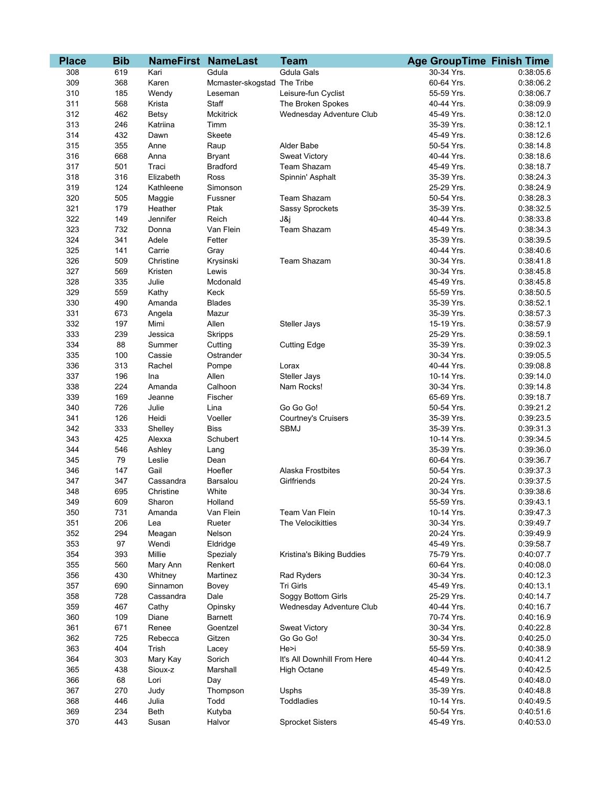| <b>Place</b> | <b>Bib</b> |                       | <b>NameFirst NameLast</b>   | <b>Team</b>                                    | <b>Age GroupTime Finish Time</b> |                        |
|--------------|------------|-----------------------|-----------------------------|------------------------------------------------|----------------------------------|------------------------|
| 308          | 619        | Kari                  | Gdula                       | <b>Gdula Gals</b>                              | 30-34 Yrs.                       | 0:38:05.6              |
| 309          | 368        | Karen                 | Mcmaster-skogstad The Tribe |                                                | 60-64 Yrs.                       | 0:38:06.2              |
| 310          | 185        | Wendy                 | Leseman                     | Leisure-fun Cyclist                            | 55-59 Yrs.                       | 0:38:06.7              |
| 311          | 568        | Krista                | Staff                       | The Broken Spokes                              | 40-44 Yrs.                       | 0:38:09.9              |
| 312          | 462        | Betsy                 | Mckitrick                   | Wednesday Adventure Club                       | 45-49 Yrs.                       | 0:38:12.0              |
| 313          | 246        | Katriina              | Timm                        |                                                | 35-39 Yrs.                       | 0:38:12.1              |
| 314          | 432        | Dawn                  | Skeete                      |                                                | 45-49 Yrs.                       | 0:38:12.6              |
| 315          | 355        | Anne                  | Raup                        | Alder Babe                                     | 50-54 Yrs.                       | 0:38:14.8              |
| 316          | 668        | Anna                  | <b>Bryant</b>               | <b>Sweat Victory</b>                           | 40-44 Yrs.                       | 0:38:18.6              |
| 317          | 501        | Traci                 | <b>Bradford</b>             | Team Shazam                                    | 45-49 Yrs.                       | 0:38:18.7              |
| 318          | 316        | Elizabeth             | Ross                        | Spinnin' Asphalt                               | 35-39 Yrs.                       | 0:38:24.3              |
| 319          | 124        | Kathleene             | Simonson                    |                                                | 25-29 Yrs.                       | 0:38:24.9              |
| 320          | 505        | Maggie                | Fussner                     | Team Shazam                                    | 50-54 Yrs.                       | 0:38:28.3              |
| 321          | 179        | Heather               | Ptak                        | Sassy Sprockets                                | 35-39 Yrs.                       | 0:38:32.5              |
| 322          | 149        | Jennifer              | Reich                       | J&j                                            | 40-44 Yrs.                       | 0:38:33.8              |
| 323          | 732        | Donna                 | Van Flein                   | Team Shazam                                    | 45-49 Yrs.                       | 0:38:34.3              |
| 324          | 341        | Adele                 | Fetter                      |                                                | 35-39 Yrs.                       | 0:38:39.5              |
| 325          | 141        | Carrie                | Gray                        |                                                | 40-44 Yrs.                       | 0:38:40.6              |
| 326          | 509        | Christine             | Krysinski                   | Team Shazam                                    | 30-34 Yrs.                       | 0:38:41.8              |
| 327          | 569        | Kristen               | Lewis                       |                                                | 30-34 Yrs.                       | 0:38:45.8              |
| 328          | 335        | Julie                 | Mcdonald                    |                                                | 45-49 Yrs.                       | 0:38:45.8              |
| 329          | 559        | Kathy                 | Keck                        |                                                | 55-59 Yrs.                       | 0:38:50.5              |
| 330          | 490        | Amanda                | <b>Blades</b>               |                                                | 35-39 Yrs.                       | 0:38:52.1              |
| 331          | 673        | Angela                | Mazur                       |                                                | 35-39 Yrs.                       | 0:38:57.3              |
| 332          | 197        | Mimi                  | Allen                       | <b>Steller Jays</b>                            | 15-19 Yrs.                       | 0:38:57.9              |
| 333          | 239        | Jessica               | <b>Skripps</b>              |                                                | 25-29 Yrs.                       | 0:38:59.1              |
| 334          | 88         | Summer                | Cutting                     | <b>Cutting Edge</b>                            | 35-39 Yrs.                       | 0:39:02.3              |
| 335          | 100        | Cassie                | Ostrander                   |                                                | 30-34 Yrs.                       | 0:39:05.5              |
| 336          | 313        | Rachel                | Pompe                       | Lorax                                          | 40-44 Yrs.                       | 0:39:08.8              |
| 337          | 196        | Ina                   | Allen                       | Steller Jays                                   | 10-14 Yrs.                       | 0:39:14.0              |
| 338          | 224        | Amanda                | Calhoon                     | Nam Rocks!                                     | 30-34 Yrs.                       | 0:39:14.8              |
| 339          | 169        | Jeanne                | Fischer                     |                                                | 65-69 Yrs.                       | 0:39:18.7              |
| 340          | 726        | Julie                 | Lina                        | Go Go Go!                                      | 50-54 Yrs.                       | 0:39:21.2              |
| 341          | 126        | Heidi                 | Voeller                     | <b>Courtney's Cruisers</b>                     | 35-39 Yrs.                       | 0:39:23.5              |
| 342          | 333        | Shelley               | <b>Biss</b>                 | <b>SBMJ</b>                                    | 35-39 Yrs.                       | 0:39:31.3              |
| 343          | 425        | Alexxa                | Schubert                    |                                                | 10-14 Yrs.                       | 0:39:34.5              |
| 344          | 546        | Ashley                | Lang                        |                                                | 35-39 Yrs.                       | 0:39:36.0              |
| 345          | 79         | Leslie                | Dean                        |                                                | 60-64 Yrs.                       | 0:39:36.7              |
| 346          | 147        | Gail                  | Hoefler                     | Alaska Frostbites                              | 50-54 Yrs.                       | 0:39:37.3              |
| 347          | 347        | Cassandra             | Barsalou                    | Girlfriends                                    | 20-24 Yrs.                       | 0:39:37.5              |
| 348          | 695        | Christine             | White                       |                                                | 30-34 Yrs.                       | 0:39:38.6              |
| 349          | 609        | Sharon                | Holland                     |                                                | 55-59 Yrs.                       | 0:39:43.1              |
| 350          | 731        | Amanda                | Van Flein                   | Team Van Flein                                 | 10-14 Yrs.                       | 0:39:47.3              |
| 351          | 206        | Lea                   | Rueter                      | The Velocikitties                              | 30-34 Yrs.                       | 0:39:49.7              |
| 352          | 294        | Meagan                | Nelson                      |                                                | 20-24 Yrs.                       | 0:39:49.9              |
| 353          | 97         | Wendi                 | Eldridge                    |                                                | 45-49 Yrs.                       | 0:39:58.7              |
| 354          | 393        | Millie                | Spezialy                    | Kristina's Biking Buddies                      | 75-79 Yrs.                       | 0:40:07.7              |
| 355          | 560        | Mary Ann              | Renkert                     |                                                | 60-64 Yrs.                       | 0.40:08.0              |
| 356          | 430        | Whitney               | Martinez                    | Rad Ryders                                     | 30-34 Yrs.                       | 0.40:12.3              |
| 357<br>358   | 690<br>728 | Sinnamon<br>Cassandra | Bovey<br>Dale               | Tri Girls                                      | 45-49 Yrs.<br>25-29 Yrs.         | 0:40:13.1<br>0:40:14.7 |
|              |            |                       |                             | Soggy Bottom Girls<br>Wednesday Adventure Club | 40-44 Yrs.                       |                        |
| 359<br>360   | 467<br>109 | Cathy<br>Diane        | Opinsky<br><b>Barnett</b>   |                                                | 70-74 Yrs.                       | 0.40.16.7<br>0:40:16.9 |
| 361          | 671        | Renee                 | Goentzel                    | <b>Sweat Victory</b>                           | 30-34 Yrs.                       | 0:40:22.8              |
| 362          | 725        |                       | Gitzen                      | Go Go Go!                                      | 30-34 Yrs.                       | 0:40:25.0              |
| 363          | 404        | Rebecca<br>Trish      | Lacey                       | He>i                                           | 55-59 Yrs.                       | 0:40:38.9              |
| 364          | 303        | Mary Kay              | Sorich                      | It's All Downhill From Here                    | 40-44 Yrs.                       | 0:40:41.2              |
| 365          | 438        | Sioux-z               | Marshall                    | High Octane                                    | 45-49 Yrs.                       | 0:40:42.5              |
| 366          | 68         | Lori                  | Day                         |                                                | 45-49 Yrs.                       | 0:40:48.0              |
| 367          | 270        | Judy                  | Thompson                    | Usphs                                          | 35-39 Yrs.                       | 0:40:48.8              |
| 368          | 446        | Julia                 | Todd                        | <b>Toddladies</b>                              | 10-14 Yrs.                       | 0:40:49.5              |
| 369          | 234        | <b>Beth</b>           | Kutyba                      |                                                | 50-54 Yrs.                       | 0:40:51.6              |
| 370          | 443        | Susan                 | Halvor                      | <b>Sprocket Sisters</b>                        | 45-49 Yrs.                       | 0:40:53.0              |
|              |            |                       |                             |                                                |                                  |                        |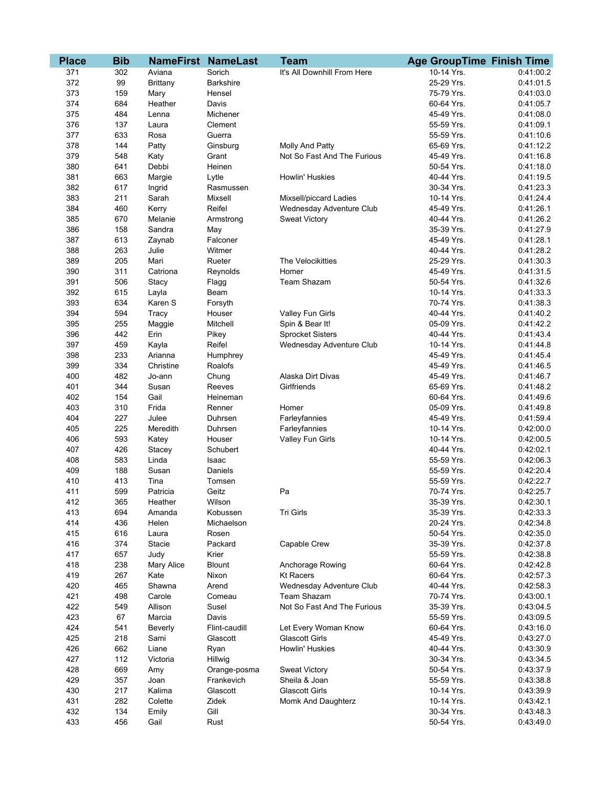| <b>Place</b> | <b>Bib</b> |                  | <b>NameFirst NameLast</b> | <b>Team</b>                 | <b>Age GroupTime Finish Time</b> |           |
|--------------|------------|------------------|---------------------------|-----------------------------|----------------------------------|-----------|
| 371          | 302        | Aviana           | Sorich                    | It's All Downhill From Here | 10-14 Yrs.                       | 0:41:00.2 |
| 372          | 99         | Brittany         | Barkshire                 |                             | 25-29 Yrs.                       | 0:41:01.5 |
| 373          | 159        | Mary             | Hensel                    |                             | 75-79 Yrs.                       | 0:41:03.0 |
| 374          | 684        | Heather          | Davis                     |                             | 60-64 Yrs.                       | 0:41:05.7 |
| 375          | 484        | Lenna            | Michener                  |                             | 45-49 Yrs.                       | 0:41:08.0 |
| 376          | 137        | Laura            | Clement                   |                             | 55-59 Yrs.                       | 0:41:09.1 |
| 377          | 633        | Rosa             | Guerra                    |                             | 55-59 Yrs.                       | 0:41:10.6 |
| 378          | 144        | Patty            | Ginsburg                  | Molly And Patty             | 65-69 Yrs.                       | 0:41:12.2 |
| 379          | 548        | Katy             | Grant                     | Not So Fast And The Furious | 45-49 Yrs.                       | 0:41:16.8 |
| 380          | 641        | Debbi            | Heinen                    |                             | 50-54 Yrs.                       | 0:41:18.0 |
| 381          | 663        | Margie           | Lytle                     | Howlin' Huskies             | 40-44 Yrs.                       | 0:41:19.5 |
| 382          | 617        | Ingrid           | Rasmussen                 |                             | 30-34 Yrs.                       | 0:41:23.3 |
| 383          | 211        | Sarah            | Mixsell                   | Mixsell/piccard Ladies      | 10-14 Yrs.                       | 0:41:24.4 |
| 384          | 460        | Kerry            | Reifel                    | Wednesday Adventure Club    | 45-49 Yrs.                       | 0:41:26.1 |
| 385          | 670        | Melanie          | Armstrong                 | <b>Sweat Victory</b>        | 40-44 Yrs.                       | 0:41:26.2 |
| 386          | 158        | Sandra           | May                       |                             | 35-39 Yrs.                       | 0:41:27.9 |
| 387          | 613        | Zaynab           | Falconer                  |                             | 45-49 Yrs.                       | 0:41:28.1 |
| 388          | 263        | Julie            | Witmer                    |                             | 40-44 Yrs.                       | 0:41:28.2 |
| 389          | 205        | Mari             | Rueter                    | The Velocikitties           | 25-29 Yrs.                       | 0:41:30.3 |
| 390          | 311        | Catriona         | Reynolds                  | Homer                       | 45-49 Yrs.                       | 0:41:31.5 |
| 391          | 506        | Stacy            | Flagg                     | Team Shazam                 | 50-54 Yrs.                       | 0:41:32.6 |
| 392          | 615        | Layla            | Beam                      |                             | 10-14 Yrs.                       | 0:41:33.3 |
| 393          | 634        | Karen S          | Forsyth                   |                             | 70-74 Yrs.                       | 0:41:38.3 |
| 394          | 594        | Tracy            | Houser                    | Valley Fun Girls            | 40-44 Yrs.                       | 0:41:40.2 |
| 395          | 255        |                  | Mitchell                  | Spin & Bear It!             | 05-09 Yrs.                       | 0:41:42.2 |
| 396          | 442        | Maggie<br>Erin   | Pikey                     | <b>Sprocket Sisters</b>     | 40-44 Yrs.                       | 0:41:43.4 |
| 397          | 459        |                  | Reifel                    |                             | 10-14 Yrs.                       | 0:41:44.8 |
|              |            | Kayla<br>Arianna |                           | Wednesday Adventure Club    | 45-49 Yrs.                       |           |
| 398<br>399   | 233<br>334 | Christine        | Humphrey                  |                             | 45-49 Yrs.                       | 0:41:45.4 |
|              |            |                  | Roalofs                   | Alaska Dirt Divas           | 45-49 Yrs.                       | 0:41:46.5 |
| 400<br>401   | 482        | Jo-ann           | Chung                     |                             | 65-69 Yrs.                       | 0:41:46.7 |
|              | 344        | Susan            | Reeves                    | Girlfriends                 |                                  | 0:41:48.2 |
| 402          | 154        | Gail             | Heineman                  |                             | 60-64 Yrs.                       | 0:41:49.6 |
| 403          | 310        | Frida            | Renner                    | Homer                       | 05-09 Yrs.                       | 0:41:49.8 |
| 404          | 227        | Julee            | Duhrsen                   | Farleyfannies               | 45-49 Yrs.                       | 0:41:59.4 |
| 405          | 225        | Meredith         | Duhrsen                   | Farleyfannies               | 10-14 Yrs.                       | 0:42:00.0 |
| 406          | 593        | Katey            | Houser                    | Valley Fun Girls            | 10-14 Yrs.                       | 0:42:00.5 |
| 407          | 426        | Stacey           | Schubert                  |                             | 40-44 Yrs.                       | 0:42:02.1 |
| 408          | 583        | Linda            | Isaac                     |                             | 55-59 Yrs.                       | 0:42:06.3 |
| 409          | 188        | Susan            | Daniels                   |                             | 55-59 Yrs.                       | 0:42:20.4 |
| 410          | 413        | Tina             | Tomsen                    |                             | 55-59 Yrs.                       | 0:42:22.7 |
| 411          | 599        | Patricia         | Geitz                     | Pa                          | 70-74 Yrs.                       | 0:42:25.7 |
| 412          | 365        | Heather          | Wilson                    |                             | 35-39 Yrs.                       | 0:42:30.1 |
| 413          | 694        | Amanda           | Kobussen                  | Tri Girls                   | 35-39 Yrs.                       | 0:42:33.3 |
| 414          | 436        | Helen            | Michaelson                |                             | 20-24 Yrs.                       | 0:42:34.8 |
| 415          | 616        | Laura            | Rosen                     |                             | 50-54 Yrs.                       | 0:42:35.0 |
| 416          | 374        | Stacie           | Packard                   | Capable Crew                | 35-39 Yrs.                       | 0:42:37.8 |
| 417          | 657        | Judy             | Krier                     |                             | 55-59 Yrs.                       | 0:42:38.8 |
| 418          | 238        | Mary Alice       | <b>Blount</b>             | Anchorage Rowing            | 60-64 Yrs.                       | 0:42:42.8 |
| 419          | 267        | Kate             | Nixon                     | <b>Kt Racers</b>            | 60-64 Yrs.                       | 0:42:57.3 |
| 420          | 465        | Shawna           | Arend                     | Wednesday Adventure Club    | 40-44 Yrs.                       | 0:42:58.3 |
| 421          | 498        | Carole           | Comeau                    | Team Shazam                 | 70-74 Yrs.                       | 0:43:00.1 |
| 422          | 549        | Allison          | Susel                     | Not So Fast And The Furious | 35-39 Yrs.                       | 0:43:04.5 |
| 423          | 67         | Marcia           | Davis                     |                             | 55-59 Yrs.                       | 0:43:09.5 |
| 424          | 541        | Beverly          | Flint-caudill             | Let Every Woman Know        | 60-64 Yrs.                       | 0.43:16.0 |
| 425          | 218        | Sami             | Glascott                  | <b>Glascott Girls</b>       | 45-49 Yrs.                       | 0:43:27.0 |
| 426          | 662        | Liane            | Ryan                      | Howlin' Huskies             | 40-44 Yrs.                       | 0:43:30.9 |
| 427          | 112        | Victoria         | Hillwig                   |                             | 30-34 Yrs.                       | 0:43:34.5 |
| 428          | 669        | Amy              | Orange-posma              | <b>Sweat Victory</b>        | 50-54 Yrs.                       | 0:43:37.9 |
| 429          | 357        | Joan             | Frankevich                | Sheila & Joan               | 55-59 Yrs.                       | 0:43:38.8 |
| 430          | 217        | Kalima           | Glascott                  | <b>Glascott Girls</b>       | 10-14 Yrs.                       | 0:43:39.9 |
| 431          | 282        | Colette          | Zidek                     | Momk And Daughterz          | 10-14 Yrs.                       | 0:43:42.1 |
| 432          | 134        | Emily            | Gill                      |                             | 30-34 Yrs.                       | 0:43:48.3 |
| 433          | 456        | Gail             | Rust                      |                             | 50-54 Yrs.                       | 0:43:49.0 |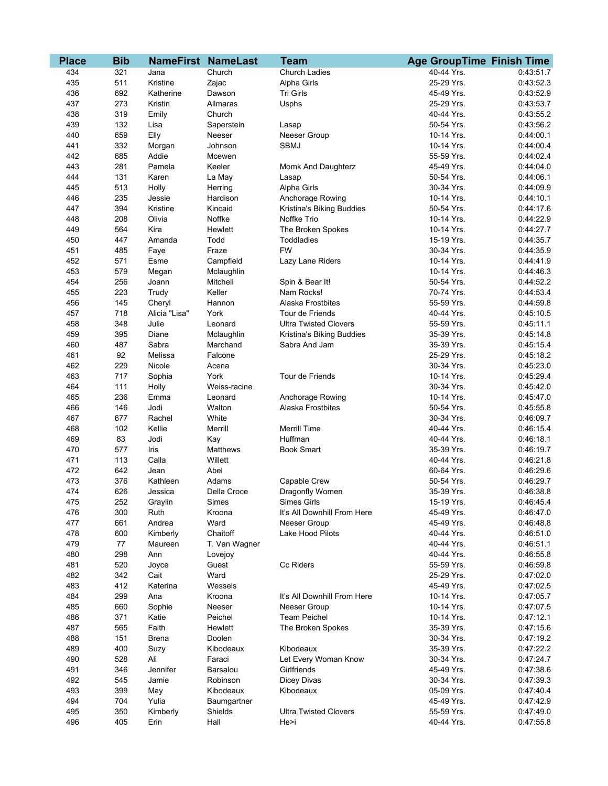| <b>Place</b> | <b>Bib</b> |               | <b>NameFirst NameLast</b> | Team                         | <b>Age GroupTime Finish Time</b> |           |
|--------------|------------|---------------|---------------------------|------------------------------|----------------------------------|-----------|
| 434          | 321        | Jana          | Church                    | Church Ladies                | 40-44 Yrs.                       | 0:43:51.7 |
| 435          | 511        | Kristine      | Zajac                     | Alpha Girls                  | 25-29 Yrs.                       | 0:43:52.3 |
| 436          | 692        | Katherine     | Dawson                    | Tri Girls                    | 45-49 Yrs.                       | 0:43:52.9 |
| 437          | 273        | Kristin       | Allmaras                  | Usphs                        | 25-29 Yrs.                       | 0:43:53.7 |
| 438          | 319        | Emily         | Church                    |                              | 40-44 Yrs.                       | 0:43:55.2 |
| 439          | 132        | Lisa          | Saperstein                | Lasap                        | 50-54 Yrs.                       | 0:43:56.2 |
| 440          | 659        | Elly          | Neeser                    | Neeser Group                 | 10-14 Yrs.                       | 0:44:00.1 |
| 441          | 332        | Morgan        | Johnson                   | <b>SBMJ</b>                  | 10-14 Yrs.                       | 0:44:00.4 |
| 442          | 685        | Addie         | Mcewen                    |                              | 55-59 Yrs.                       | 0:44:02.4 |
| 443          | 281        | Pamela        | Keeler                    | Momk And Daughterz           | 45-49 Yrs.                       | 0.44:04.0 |
| 444          | 131        | Karen         | La May                    | Lasap                        | 50-54 Yrs.                       | 0:44:06.1 |
| 445          | 513        | Holly         | Herring                   | Alpha Girls                  | 30-34 Yrs.                       | 0:44:09.9 |
| 446          | 235        | Jessie        | Hardison                  | Anchorage Rowing             | 10-14 Yrs.                       | 0.44:10.1 |
| 447          | 394        | Kristine      | Kincaid                   | Kristina's Biking Buddies    | 50-54 Yrs.                       | 0:44:17.6 |
| 448          | 208        | Olivia        | Noffke                    | Noffke Trio                  | 10-14 Yrs.                       | 0:44:22.9 |
| 449          | 564        | Kira          | Hewlett                   | The Broken Spokes            | 10-14 Yrs.                       | 0:44:27.7 |
| 450          | 447        | Amanda        | Todd                      | Toddladies                   | 15-19 Yrs.                       | 0:44:35.7 |
| 451          | 485        | Faye          | Fraze                     | <b>FW</b>                    | 30-34 Yrs.                       | 0:44:35.9 |
| 452          | 571        | Esme          | Campfield                 | Lazy Lane Riders             | 10-14 Yrs.                       | 0:44:41.9 |
| 453          | 579        | Megan         | Mclaughlin                |                              | 10-14 Yrs.                       | 0:44:46.3 |
| 454          | 256        | Joann         | Mitchell                  | Spin & Bear It!              | 50-54 Yrs.                       | 0:44:52.2 |
| 455          | 223        | Trudy         | Keller                    | Nam Rocks!                   | 70-74 Yrs.                       | 0:44:53.4 |
| 456          | 145        | Cheryl        | Hannon                    | Alaska Frostbites            | 55-59 Yrs.                       | 0:44:59.8 |
| 457          | 718        | Alicia "Lisa" | York                      | Tour de Friends              | 40-44 Yrs.                       | 0:45:10.5 |
| 458          | 348        | Julie         | Leonard                   | <b>Ultra Twisted Clovers</b> | 55-59 Yrs.                       | 0:45:11.1 |
| 459          | 395        | Diane         | Mclaughlin                | Kristina's Biking Buddies    | 35-39 Yrs.                       | 0:45:14.8 |
| 460          | 487        | Sabra         | Marchand                  | Sabra And Jam                | 35-39 Yrs.                       | 0:45:15.4 |
| 461          | 92         | Melissa       | Falcone                   |                              | 25-29 Yrs.                       | 0:45:18.2 |
| 462          | 229        | Nicole        | Acena                     |                              | 30-34 Yrs.                       | 0:45:23.0 |
| 463          | 717        | Sophia        | York                      | Tour de Friends              | 10-14 Yrs.                       | 0:45:29.4 |
| 464          | 111        | Holly         | Weiss-racine              |                              | 30-34 Yrs.                       | 0:45:42.0 |
| 465          | 236        | Emma          | Leonard                   | Anchorage Rowing             | 10-14 Yrs.                       | 0:45:47.0 |
| 466          | 146        | Jodi          | Walton                    | Alaska Frostbites            | 50-54 Yrs.                       | 0:45:55.8 |
| 467          | 677        | Rachel        | White                     |                              | 30-34 Yrs.                       | 0:46:09.7 |
| 468          | 102        | Kellie        | Merrill                   | <b>Merrill Time</b>          | 40-44 Yrs.                       | 0:46:15.4 |
| 469          | 83         | Jodi          | Kay                       | Huffman                      | 40-44 Yrs.                       | 0:46:18.1 |
| 470          | 577        | Iris          | <b>Matthews</b>           | <b>Book Smart</b>            | 35-39 Yrs.                       | 0:46:19.7 |
| 471          | 113        | Calla         | Willett                   |                              | 40-44 Yrs.                       | 0:46:21.8 |
| 472          | 642        | Jean          | Abel                      |                              | 60-64 Yrs.                       | 0:46:29.6 |
| 473          | 376        | Kathleen      | Adams                     | Capable Crew                 | 50-54 Yrs.                       | 0:46:29.7 |
| 474          | 626        | Jessica       | Della Croce               | Dragonfly Women              | 35-39 Yrs.                       | 0:46:38.8 |
| 475          | 252        | Graylin       | Simes                     | Simes Girls                  | 15-19 Yrs.                       | 0:46:45.4 |
| 476          | 300        | Ruth          | Kroona                    | It's All Downhill From Here  | 45-49 Yrs.                       | 0:46:47.0 |
| 477          | 661        | Andrea        | Ward                      | Neeser Group                 | 45-49 Yrs.                       | 0:46:48.8 |
| 478          | 600        | Kimberly      | Chaitoff                  | Lake Hood Pilots             | 40-44 Yrs.                       | 0:46:51.0 |
| 479          | 77         | Maureen       | T. Van Wagner             |                              | 40-44 Yrs.                       | 0:46:51.1 |
| 480          | 298        | Ann           | Lovejoy                   |                              | 40-44 Yrs.                       | 0:46:55.8 |
| 481          | 520        | Joyce         | Guest                     | Cc Riders                    | 55-59 Yrs.                       | 0:46:59.8 |
| 482          | 342        | Cait          | Ward                      |                              | 25-29 Yrs.                       | 0:47:02.0 |
| 483          | 412        | Katerina      | Wessels                   |                              | 45-49 Yrs.                       | 0:47:02.5 |
| 484          | 299        | Ana           | Kroona                    | It's All Downhill From Here  | 10-14 Yrs.                       | 0:47:05.7 |
| 485          | 660        | Sophie        | Neeser                    | Neeser Group                 | 10-14 Yrs.                       | 0:47:07.5 |
| 486          | 371        | Katie         | Peichel                   | <b>Team Peichel</b>          | 10-14 Yrs.                       | 0:47:12.1 |
| 487          | 565        | Faith         | Hewlett                   | The Broken Spokes            | 35-39 Yrs.                       | 0:47:15.6 |
| 488          | 151        | <b>Brena</b>  | Doolen                    |                              | 30-34 Yrs.                       | 0:47:19.2 |
| 489          | 400        | Suzy          | Kibodeaux                 | Kibodeaux                    | 35-39 Yrs.                       | 0:47:22.2 |
| 490          | 528        | Ali           | Faraci                    | Let Every Woman Know         | 30-34 Yrs.                       | 0.47:24.7 |
| 491          | 346        | Jennifer      | Barsalou                  | Girlfriends                  | 45-49 Yrs.                       | 0:47:38.6 |
| 492          | 545        | Jamie         | Robinson                  | Dicey Divas                  | 30-34 Yrs.                       | 0:47:39.3 |
| 493          | 399        | May           | Kibodeaux                 | Kibodeaux                    | 05-09 Yrs.                       | 0:47:40.4 |
| 494          | 704        | Yulia         | Baumgartner               |                              | 45-49 Yrs.                       | 0:47:42.9 |
| 495          | 350        | Kimberly      | Shields                   | <b>Ultra Twisted Clovers</b> | 55-59 Yrs.                       | 0.47:49.0 |
| 496          | 405        | Erin          | Hall                      | He>i                         | 40-44 Yrs.                       | 0:47:55.8 |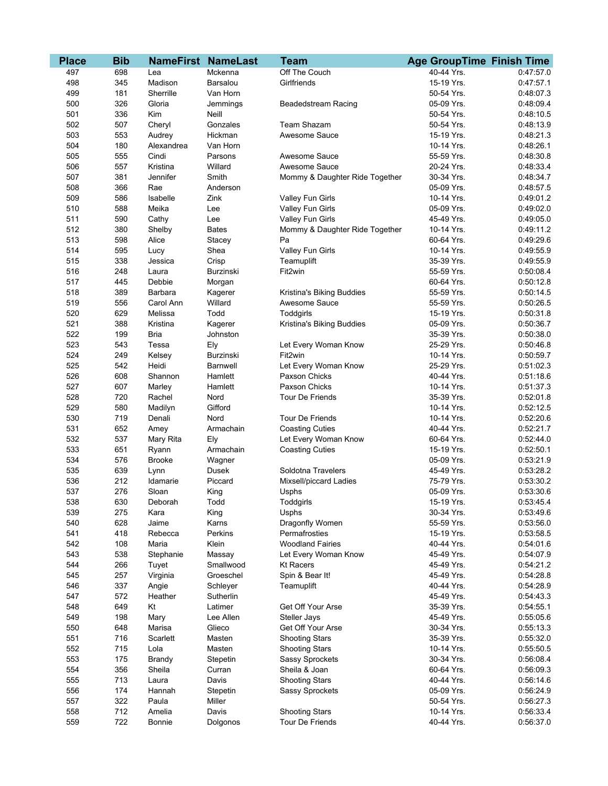| <b>Place</b> | <b>Bib</b> |               | <b>NameFirst NameLast</b> | <b>Team</b>                    | <b>Age GroupTime Finish Time</b> |           |
|--------------|------------|---------------|---------------------------|--------------------------------|----------------------------------|-----------|
| 497          | 698        | Lea           | Mckenna                   | Off The Couch                  | 40-44 Yrs.                       | 0.47:57.0 |
| 498          | 345        | Madison       | Barsalou                  | Girlfriends                    | 15-19 Yrs.                       | 0:47:57.1 |
| 499          | 181        | Sherrille     | Van Horn                  |                                | 50-54 Yrs.                       | 0:48:07.3 |
| 500          | 326        | Gloria        | Jemmings                  | <b>Beadedstream Racing</b>     | 05-09 Yrs.                       | 0:48:09.4 |
| 501          | 336        | Kim           | Neill                     |                                | 50-54 Yrs.                       | 0:48:10.5 |
| 502          | 507        | Cheryl        | Gonzales                  | <b>Team Shazam</b>             | 50-54 Yrs.                       | 0:48:13.9 |
| 503          | 553        | Audrey        | Hickman                   | Awesome Sauce                  | 15-19 Yrs.                       | 0:48:21.3 |
| 504          | 180        | Alexandrea    | Van Horn                  |                                | 10-14 Yrs.                       | 0:48:26.1 |
| 505          | 555        | Cindi         | Parsons                   | Awesome Sauce                  | 55-59 Yrs.                       | 0:48:30.8 |
| 506          | 557        | Kristina      | Willard                   | Awesome Sauce                  | 20-24 Yrs.                       | 0:48:33.4 |
| 507          | 381        | Jennifer      | Smith                     | Mommy & Daughter Ride Together | 30-34 Yrs.                       | 0:48:34.7 |
| 508          | 366        | Rae           | Anderson                  |                                | 05-09 Yrs.                       | 0:48:57.5 |
| 509          | 586        | Isabelle      | Zink                      | Valley Fun Girls               | 10-14 Yrs.                       | 0:49:01.2 |
| 510          | 588        | Meika         | Lee                       | Valley Fun Girls               | 05-09 Yrs.                       | 0:49:02.0 |
| 511          | 590        | Cathy         | Lee                       | Valley Fun Girls               | 45-49 Yrs.                       | 0:49:05.0 |
| 512          | 380        | Shelby        | <b>Bates</b>              | Mommy & Daughter Ride Together | 10-14 Yrs.                       | 0:49:11.2 |
| 513          | 598        | Alice         | Stacey                    | Pa                             | 60-64 Yrs.                       | 0:49:29.6 |
| 514          | 595        | Lucy          | Shea                      | Valley Fun Girls               | 10-14 Yrs.                       | 0:49:55.9 |
| 515          | 338        | Jessica       | Crisp                     | Teamuplift                     | 35-39 Yrs.                       | 0:49:55.9 |
| 516          | 248        | Laura         | Burzinski                 | Fit2win                        | 55-59 Yrs.                       | 0:50:08.4 |
| 517          | 445        | Debbie        | Morgan                    |                                | 60-64 Yrs.                       | 0:50:12.8 |
| 518          | 389        | Barbara       | Kagerer                   | Kristina's Biking Buddies      | 55-59 Yrs.                       | 0:50:14.5 |
| 519          | 556        | Carol Ann     | Willard                   | Awesome Sauce                  | 55-59 Yrs.                       | 0:50:26.5 |
| 520          | 629        | Melissa       | Todd                      | Toddgirls                      | 15-19 Yrs.                       | 0:50:31.8 |
| 521          | 388        | Kristina      | Kagerer                   | Kristina's Biking Buddies      | 05-09 Yrs.                       | 0:50:36.7 |
| 522          | 199        | <b>Bria</b>   | Johnston                  |                                | 35-39 Yrs.                       | 0:50:38.0 |
| 523          | 543        | Tessa         | Ely                       | Let Every Woman Know           | 25-29 Yrs.                       | 0:50:46.8 |
| 524          | 249        | Kelsey        | <b>Burzinski</b>          | Fit2win                        | 10-14 Yrs.                       | 0:50:59.7 |
| 525          | 542        | Heidi         | <b>Barnwell</b>           | Let Every Woman Know           | 25-29 Yrs.                       | 0:51:02.3 |
| 526          | 608        | Shannon       | Hamlett                   | Paxson Chicks                  | 40-44 Yrs.                       | 0:51:18.6 |
| 527          | 607        | Marley        | Hamlett                   | Paxson Chicks                  | 10-14 Yrs.                       | 0:51:37.3 |
| 528          | 720        | Rachel        | Nord                      | Tour De Friends                | 35-39 Yrs.                       | 0:52:01.8 |
| 529          | 580        | Madilyn       | Gifford                   |                                | 10-14 Yrs.                       | 0:52:12.5 |
| 530          | 719        | Denali        | Nord                      | Tour De Friends                | 10-14 Yrs.                       | 0:52:20.6 |
| 531          | 652        | Amey          | Armachain                 | <b>Coasting Cuties</b>         | 40-44 Yrs.                       | 0:52:21.7 |
| 532          | 537        | Mary Rita     | Ely                       | Let Every Woman Know           | 60-64 Yrs.                       | 0:52:44.0 |
| 533          | 651        | Ryann         | Armachain                 | <b>Coasting Cuties</b>         | 15-19 Yrs.                       | 0:52:50.1 |
| 534          | 576        | <b>Brooke</b> | Wagner                    |                                | 05-09 Yrs.                       | 0:53:21.9 |
| 535          | 639        | Lynn          | Dusek                     | Soldotna Travelers             | 45-49 Yrs.                       | 0:53:28.2 |
| 536          | 212        | Idamarie      | Piccard                   | Mixsell/piccard Ladies         | 75-79 Yrs.                       | 0:53:30.2 |
| 537          | 276        | Sloan         | King                      | Usphs                          | 05-09 Yrs.                       | 0:53:30.6 |
| 538          | 630        | Deborah       | Todd                      | Toddgirls                      | 15-19 Yrs.                       | 0:53:45.4 |
| 539          | 275        | Kara          | King                      | Usphs                          | 30-34 Yrs.                       | 0:53:49.6 |
| 540          | 628        | Jaime         | Karns                     | Dragonfly Women                | 55-59 Yrs.                       | 0:53:56.0 |
| 541          | 418        | Rebecca       | Perkins                   | Permafrosties                  | 15-19 Yrs.                       | 0:53:58.5 |
| 542          | 108        | Maria         | Klein                     | <b>Woodland Fairies</b>        | 40-44 Yrs.                       | 0:54:01.6 |
| 543          | 538        | Stephanie     | Massay                    | Let Every Woman Know           | 45-49 Yrs.                       | 0:54:07.9 |
| 544          | 266        | Tuyet         | Smallwood                 | <b>Kt Racers</b>               | 45-49 Yrs.                       | 0:54:21.2 |
| 545          | 257        | Virginia      | Groeschel                 | Spin & Bear It!                | 45-49 Yrs.                       | 0:54:28.8 |
| 546          | 337        | Angie         | Schleyer                  | Teamuplift                     | 40-44 Yrs.                       | 0:54:28.9 |
| 547          | 572        | Heather       | Sutherlin                 |                                | 45-49 Yrs.                       | 0:54:43.3 |
| 548          | 649        | Kt            | Latimer                   | Get Off Your Arse              | 35-39 Yrs.                       | 0:54:55.1 |
| 549          | 198        | Mary          | Lee Allen                 | <b>Steller Jays</b>            | 45-49 Yrs.                       | 0:55:05.6 |
| 550          | 648        | Marisa        | Glieco                    | Get Off Your Arse              | 30-34 Yrs.                       | 0:55:13.3 |
| 551          | 716        | Scarlett      | Masten                    | <b>Shooting Stars</b>          | 35-39 Yrs.                       | 0:55:32.0 |
| 552          | 715        | Lola          | Masten                    | <b>Shooting Stars</b>          | 10-14 Yrs.                       | 0:55:50.5 |
| 553          | 175        | <b>Brandy</b> | Stepetin                  | Sassy Sprockets                | 30-34 Yrs.                       | 0:56:08.4 |
| 554          | 356        | Sheila        | Curran                    | Sheila & Joan                  | 60-64 Yrs.                       | 0:56:09.3 |
| 555          | 713        | Laura         | Davis                     | <b>Shooting Stars</b>          | 40-44 Yrs.                       | 0:56:14.6 |
| 556          | 174        | Hannah        | Stepetin                  | Sassy Sprockets                | 05-09 Yrs.                       | 0:56:24.9 |
| 557          | 322        | Paula         | Miller                    |                                | 50-54 Yrs.                       | 0:56:27.3 |
| 558          | 712        | Amelia        | Davis                     | <b>Shooting Stars</b>          | 10-14 Yrs.                       | 0:56:33.4 |
| 559          | 722        | <b>Bonnie</b> | Dolgonos                  | Tour De Friends                | 40-44 Yrs.                       | 0:56:37.0 |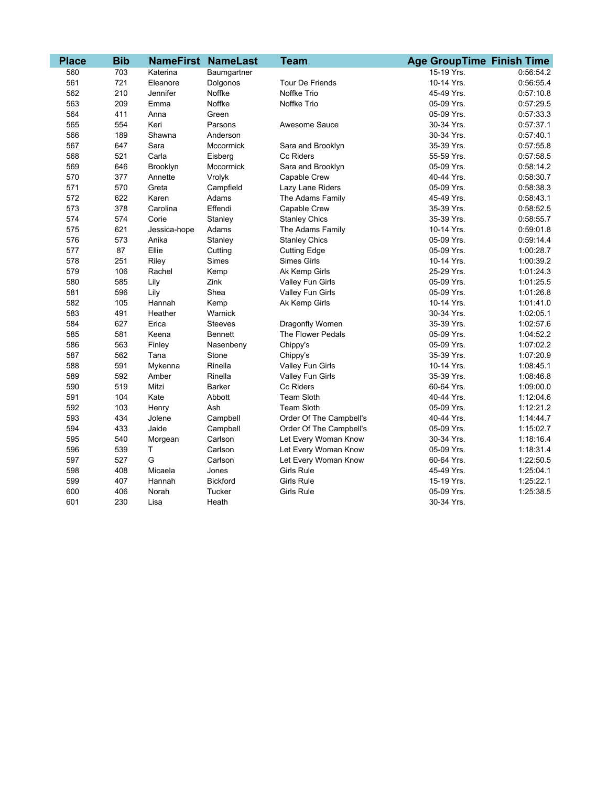| <b>Place</b> | <b>Bib</b> |              | <b>NameFirst NameLast</b> | <b>Team</b>             | <b>Age GroupTime Finish Time</b> |           |
|--------------|------------|--------------|---------------------------|-------------------------|----------------------------------|-----------|
| 560          | 703        | Katerina     | Baumgartner               |                         | 15-19 Yrs.                       | 0:56:54.2 |
| 561          | 721        | Eleanore     | Dolgonos                  | <b>Tour De Friends</b>  | 10-14 Yrs.                       | 0:56:55.4 |
| 562          | 210        | Jennifer     | Noffke                    | Noffke Trio             | 45-49 Yrs.                       | 0:57:10.8 |
| 563          | 209        | Emma         | Noffke                    | Noffke Trio             | 05-09 Yrs.                       | 0:57:29.5 |
| 564          | 411        | Anna         | Green                     |                         | 05-09 Yrs.                       | 0:57:33.3 |
| 565          | 554        | Keri         | Parsons                   | Awesome Sauce           | 30-34 Yrs.                       | 0:57:37.1 |
| 566          | 189        | Shawna       | Anderson                  |                         | 30-34 Yrs.                       | 0:57:40.1 |
| 567          | 647        | Sara         | Mccormick                 | Sara and Brooklyn       | 35-39 Yrs.                       | 0:57:55.8 |
| 568          | 521        | Carla        | Eisberg                   | Cc Riders               | 55-59 Yrs.                       | 0:57:58.5 |
| 569          | 646        | Brooklyn     | Mccormick                 | Sara and Brooklyn       | 05-09 Yrs.                       | 0:58:14.2 |
| 570          | 377        | Annette      | Vrolyk                    | Capable Crew            | 40-44 Yrs.                       | 0:58:30.7 |
| 571          | 570        | Greta        | Campfield                 | Lazy Lane Riders        | 05-09 Yrs.                       | 0:58:38.3 |
| 572          | 622        | Karen        | Adams                     | The Adams Family        | 45-49 Yrs.                       | 0:58:43.1 |
| 573          | 378        | Carolina     | Effendi                   | Capable Crew            | 35-39 Yrs.                       | 0:58:52.5 |
| 574          | 574        | Corie        | Stanley                   | <b>Stanley Chics</b>    | 35-39 Yrs.                       | 0:58:55.7 |
| 575          | 621        | Jessica-hope | Adams                     | The Adams Family        | 10-14 Yrs.                       | 0:59:01.8 |
| 576          | 573        | Anika        | Stanley                   | <b>Stanley Chics</b>    | 05-09 Yrs.                       | 0:59:14.4 |
| 577          | 87         | Ellie        | Cutting                   | <b>Cutting Edge</b>     | 05-09 Yrs.                       | 1:00:28.7 |
| 578          | 251        | Riley        | Simes                     | <b>Simes Girls</b>      | 10-14 Yrs.                       | 1:00:39.2 |
| 579          | 106        | Rachel       | Kemp                      | Ak Kemp Girls           | 25-29 Yrs.                       | 1:01:24.3 |
| 580          | 585        | Lily         | Zink                      | Valley Fun Girls        | 05-09 Yrs.                       | 1:01:25.5 |
| 581          | 596        | Lily         | Shea                      | Valley Fun Girls        | 05-09 Yrs.                       | 1:01:26.8 |
| 582          | 105        | Hannah       | Kemp                      | Ak Kemp Girls           | 10-14 Yrs.                       | 1:01:41.0 |
| 583          | 491        | Heather      | Warnick                   |                         | 30-34 Yrs.                       | 1:02:05.1 |
| 584          | 627        | Erica        | <b>Steeves</b>            | Dragonfly Women         | 35-39 Yrs.                       | 1:02:57.6 |
| 585          | 581        | Keena        | <b>Bennett</b>            | The Flower Pedals       | 05-09 Yrs.                       | 1:04:52.2 |
| 586          | 563        | Finley       | Nasenbeny                 | Chippy's                | 05-09 Yrs.                       | 1:07:02.2 |
| 587          | 562        | Tana         | Stone                     | Chippy's                | 35-39 Yrs.                       | 1:07:20.9 |
| 588          | 591        | Mykenna      | Rinella                   | Valley Fun Girls        | 10-14 Yrs.                       | 1:08:45.1 |
| 589          | 592        | Amber        | Rinella                   | Valley Fun Girls        | 35-39 Yrs.                       | 1:08:46.8 |
| 590          | 519        | Mitzi        | <b>Barker</b>             | Cc Riders               | 60-64 Yrs.                       | 1:09:00.0 |
| 591          | 104        | Kate         | Abbott                    | Team Sloth              | 40-44 Yrs.                       | 1:12:04.6 |
| 592          | 103        | Henry        | Ash                       | Team Sloth              | 05-09 Yrs.                       | 1:12:21.2 |
| 593          | 434        | Jolene       | Campbell                  | Order Of The Campbell's | 40-44 Yrs.                       | 1:14:44.7 |
| 594          | 433        | Jaide        | Campbell                  | Order Of The Campbell's | 05-09 Yrs.                       | 1:15:02.7 |
| 595          | 540        | Morgean      | Carlson                   | Let Every Woman Know    | 30-34 Yrs.                       | 1:18:16.4 |
| 596          | 539        | T            | Carlson                   | Let Every Woman Know    | 05-09 Yrs.                       | 1:18:31.4 |
| 597          | 527        | G            | Carlson                   | Let Every Woman Know    | 60-64 Yrs.                       | 1:22:50.5 |
| 598          | 408        | Micaela      | Jones                     | <b>Girls Rule</b>       | 45-49 Yrs.                       | 1:25:04.1 |
| 599          | 407        | Hannah       | <b>Bickford</b>           | <b>Girls Rule</b>       | 15-19 Yrs.                       | 1:25:22.1 |
| 600          | 406        | Norah        | Tucker                    | <b>Girls Rule</b>       | 05-09 Yrs.                       | 1:25:38.5 |
| 601          | 230        | Lisa         | Heath                     |                         | 30-34 Yrs.                       |           |

 $\overline{\phantom{a}}$